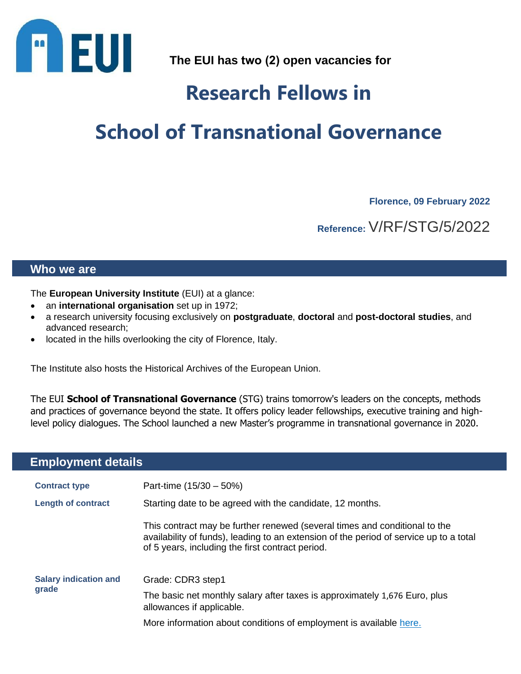

**The EUI has two (2) open vacancies for**

## **Research Fellows in**

# **School of Transnational Governance**

**Florence, 09 February 2022**

**Reference:** V/RF/STG/5/2022

#### **Who we are**

The **European University Institute** (EUI) at a glance:

- an **international organisation** set up in 1972;
- a research university focusing exclusively on **postgraduate**, **doctoral** and **post-doctoral studies**, and advanced research;
- located in the hills overlooking the city of Florence, Italy.

The Institute also hosts the Historical Archives of the European Union.

The EUI **School of Transnational Governance** (STG) trains tomorrow's leaders on the concepts, methods and practices of governance beyond the state. It offers policy leader fellowships, executive training and highlevel policy dialogues. The School launched a new Master's programme in transnational governance in 2020.

### **Employment details**

| <b>Contract type</b>                  | Part-time $(15/30 - 50%)$                                                                                                                                                                                                |
|---------------------------------------|--------------------------------------------------------------------------------------------------------------------------------------------------------------------------------------------------------------------------|
| <b>Length of contract</b>             | Starting date to be agreed with the candidate, 12 months.                                                                                                                                                                |
|                                       | This contract may be further renewed (several times and conditional to the<br>availability of funds), leading to an extension of the period of service up to a total<br>of 5 years, including the first contract period. |
| <b>Salary indication and</b><br>grade | Grade: CDR3 step1                                                                                                                                                                                                        |
|                                       | The basic net monthly salary after taxes is approximately 1,676 Euro, plus<br>allowances if applicable.                                                                                                                  |
|                                       | More information about conditions of employment is available here.                                                                                                                                                       |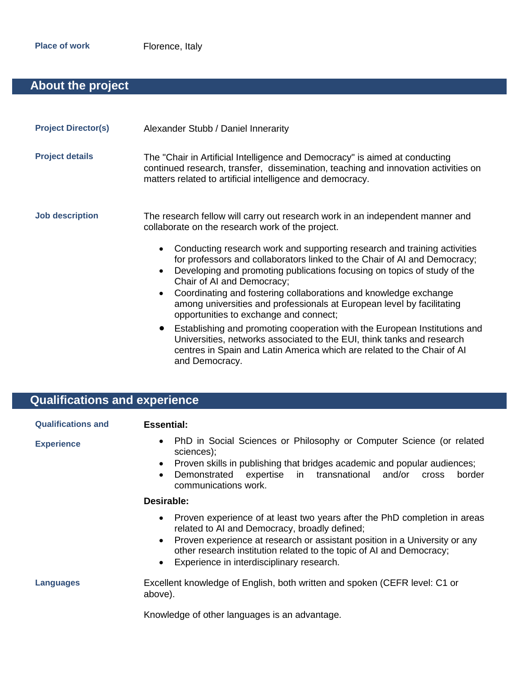### **About the project**

| <b>Project Director(s)</b> | Alexander Stubb / Daniel Innerarity                                                                                                                                                                                                                                                                                                                                                                                                                                                                                                                                                                                                                                                                                                                                                                                                                                                     |
|----------------------------|-----------------------------------------------------------------------------------------------------------------------------------------------------------------------------------------------------------------------------------------------------------------------------------------------------------------------------------------------------------------------------------------------------------------------------------------------------------------------------------------------------------------------------------------------------------------------------------------------------------------------------------------------------------------------------------------------------------------------------------------------------------------------------------------------------------------------------------------------------------------------------------------|
| <b>Project details</b>     | The "Chair in Artificial Intelligence and Democracy" is aimed at conducting<br>continued research, transfer, dissemination, teaching and innovation activities on<br>matters related to artificial intelligence and democracy.                                                                                                                                                                                                                                                                                                                                                                                                                                                                                                                                                                                                                                                          |
| <b>Job description</b>     | The research fellow will carry out research work in an independent manner and<br>collaborate on the research work of the project.<br>Conducting research work and supporting research and training activities<br>$\bullet$<br>for professors and collaborators linked to the Chair of AI and Democracy;<br>Developing and promoting publications focusing on topics of study of the<br>Chair of AI and Democracy;<br>Coordinating and fostering collaborations and knowledge exchange<br>$\bullet$<br>among universities and professionals at European level by facilitating<br>opportunities to exchange and connect;<br>Establishing and promoting cooperation with the European Institutions and<br>$\bullet$<br>Universities, networks associated to the EUI, think tanks and research<br>centres in Spain and Latin America which are related to the Chair of AI<br>and Democracy. |

## **Qualifications and experience**

| <b>Qualifications and</b> | <b>Essential:</b>                                                                                                                                                                                                                                                                                                                                       |
|---------------------------|---------------------------------------------------------------------------------------------------------------------------------------------------------------------------------------------------------------------------------------------------------------------------------------------------------------------------------------------------------|
| <b>Experience</b>         | PhD in Social Sciences or Philosophy or Computer Science (or related<br>$\bullet$<br>sciences);<br>Proven skills in publishing that bridges academic and popular audiences;<br>$\bullet$<br>in transnational<br>Demonstrated<br>expertise<br>and/or<br>border<br><b>Cross</b><br>$\bullet$<br>communications work.                                      |
|                           | Desirable:                                                                                                                                                                                                                                                                                                                                              |
|                           | Proven experience of at least two years after the PhD completion in areas<br>$\bullet$<br>related to AI and Democracy, broadly defined;<br>Proven experience at research or assistant position in a University or any<br>$\bullet$<br>other research institution related to the topic of AI and Democracy;<br>Experience in interdisciplinary research. |
| Languages                 | Excellent knowledge of English, both written and spoken (CEFR level: C1 or<br>above).                                                                                                                                                                                                                                                                   |
|                           | Knowledge of other languages is an advantage.                                                                                                                                                                                                                                                                                                           |